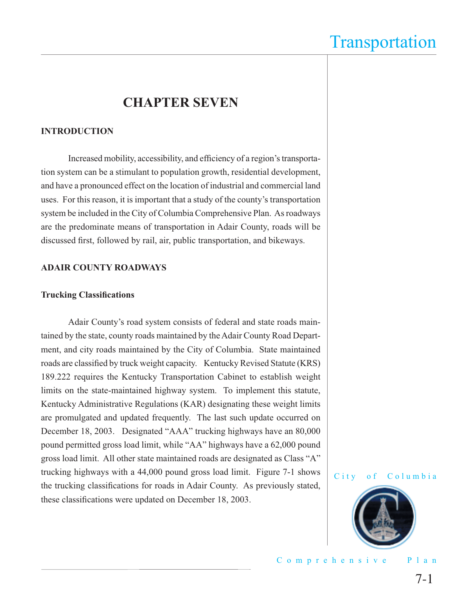### **CHAPTER SEVEN**

#### **INTRODUCTION**

Increased mobility, accessibility, and efficiency of a region's transportation system can be a stimulant to population growth, residential development, and have a pronounced effect on the location of industrial and commercial land uses. For this reason, it is important that a study of the county's transportation system be included in the City of Columbia Comprehensive Plan. As roadways are the predominate means of transportation in Adair County, roads will be discussed first, followed by rail, air, public transportation, and bikeways.

#### **ADAIR COUNTY ROADWAYS**

#### **Trucking Classifications**

Adair County's road system consists of federal and state roads maintained by the state, county roads maintained by the Adair County Road Department, and city roads maintained by the City of Columbia. State maintained roads are classified by truck weight capacity. Kentucky Revised Statute (KRS) 189.222 requires the Kentucky Transportation Cabinet to establish weight limits on the state-maintained highway system. To implement this statute, Kentucky Administrative Regulations (KAR) designating these weight limits are promulgated and updated frequently. The last such update occurred on December 18, 2003. Designated "AAA" trucking highways have an 80,000 pound permitted gross load limit, while "AA" highways have a 62,000 pound gross load limit. All other state maintained roads are designated as Class "A" trucking highways with a 44,000 pound gross load limit. Figure 7-1 shows the trucking classifications for roads in Adair County. As previously stated, these classifications were updated on December 18, 2003.



Comprehensive Plan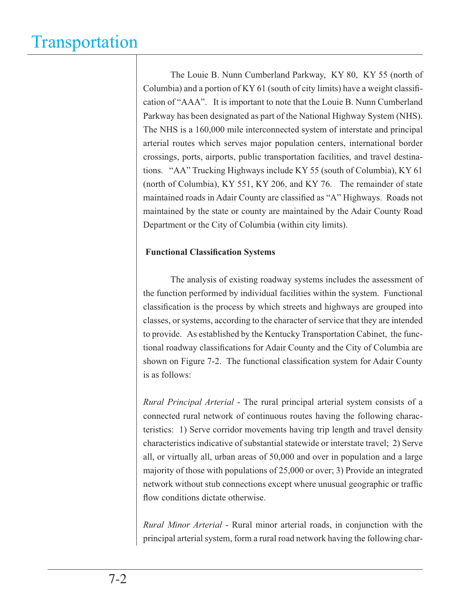The Louie B. Nunn Cumberland Parkway, KY 80, KY 55 (north of Columbia) and a portion of  $KY 61$  (south of city limits) have a weight classification of "AAA". It is important to note that the Louie B. Nunn Cumberland Parkway has been designated as part of the National Highway System (NHS). The NHS is a 160,000 mile interconnected system of interstate and principal arterial routes which serves major population centers, international border crossings, ports, airports, public transportation facilities, and travel destinations. "AA" Trucking Highways include KY 55 (south of Columbia), KY 61 (north of Columbia), KY 551, KY 206, and KY 76. The remainder of state maintained roads in Adair County are classified as "A" Highways. Roads not maintained by the state or county are maintained by the Adair County Road Department or the City of Columbia (within city limits).

#### **Functional Classification Systems**

 The analysis of existing roadway systems includes the assessment of the function performed by individual facilities within the system. Functional classification is the process by which streets and highways are grouped into classes, or systems, according to the character of service that they are intended to provide. As established by the Kentucky Transportation Cabinet, the functional roadway classifications for Adair County and the City of Columbia are shown on Figure 7-2. The functional classification system for Adair County is as follows:

*Rural Principal Arterial* - The rural principal arterial system consists of a connected rural network of continuous routes having the following characteristics: 1) Serve corridor movements having trip length and travel density characteristics indicative of substantial statewide or interstate travel; 2) Serve all, or virtually all, urban areas of 50,000 and over in population and a large majority of those with populations of 25,000 or over; 3) Provide an integrated network without stub connections except where unusual geographic or traffic flow conditions dictate otherwise.

*Rural Minor Arterial* - Rural minor arterial roads, in conjunction with the principal arterial system, form a rural road network having the following char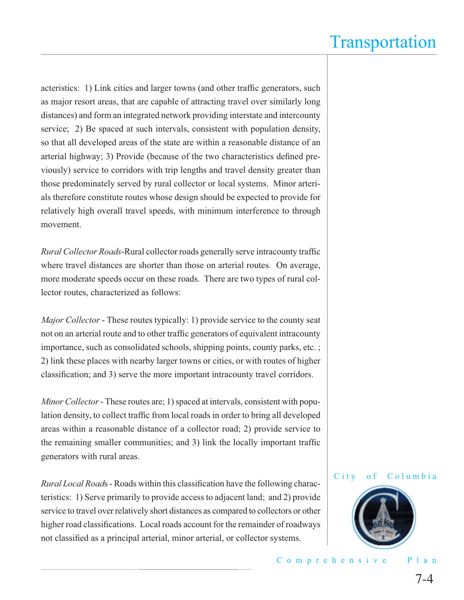acteristics: 1) Link cities and larger towns (and other traffic generators, such as major resort areas, that are capable of attracting travel over similarly long distances) and form an integrated network providing interstate and intercounty service; 2) Be spaced at such intervals, consistent with population density, so that all developed areas of the state are within a reasonable distance of an arterial highway; 3) Provide (because of the two characteristics defined previously) service to corridors with trip lengths and travel density greater than those predominately served by rural collector or local systems. Minor arterials therefore constitute routes whose design should be expected to provide for relatively high overall travel speeds, with minimum interference to through movement.

*Rural Collector Roads*-Rural collector roads generally serve intracounty traffic where travel distances are shorter than those on arterial routes. On average, more moderate speeds occur on these roads. There are two types of rural collector routes, characterized as follows:

*Major Collector* - These routes typically: 1) provide service to the county seat not on an arterial route and to other traffic generators of equivalent intracounty importance, such as consolidated schools, shipping points, county parks, etc. ; 2) link these places with nearby larger towns or cities, or with routes of higher classification; and 3) serve the more important intracounty travel corridors.

*Minor Collector* - These routes are; 1) spaced at intervals, consistent with population density, to collect traffic from local roads in order to bring all developed areas within a reasonable distance of a collector road; 2) provide service to the remaining smaller communities; and 3) link the locally important traffic generators with rural areas.

*Rural Local Roads* - Roads within this classification have the following characteristics: 1) Serve primarily to provide access to adjacent land; and 2) provide service to travel over relatively short distances as compared to collectors or other higher road classifications. Local roads account for the remainder of roadways not classified as a principal arterial, minor arterial, or collector systems.

#### City of Columbia

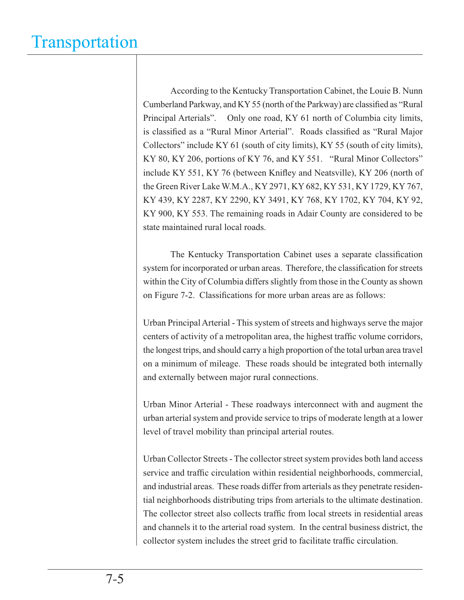According to the Kentucky Transportation Cabinet, the Louie B. Nunn Cumberland Parkway, and KY 55 (north of the Parkway) are classified as "Rural Principal Arterials". Only one road, KY 61 north of Columbia city limits, is classified as a "Rural Minor Arterial". Roads classified as "Rural Major Collectors" include KY 61 (south of city limits), KY 55 (south of city limits), KY 80, KY 206, portions of KY 76, and KY 551. "Rural Minor Collectors" include KY 551, KY 76 (between Knifley and Neatsville), KY 206 (north of the Green River Lake W.M.A., KY 2971, KY 682, KY 531, KY 1729, KY 767, KY 439, KY 2287, KY 2290, KY 3491, KY 768, KY 1702, KY 704, KY 92, KY 900, KY 553. The remaining roads in Adair County are considered to be state maintained rural local roads.

The Kentucky Transportation Cabinet uses a separate classification system for incorporated or urban areas. Therefore, the classification for streets within the City of Columbia differs slightly from those in the County as shown on Figure 7-2. Classifications for more urban areas are as follows:

Urban Principal Arterial - This system of streets and highways serve the major centers of activity of a metropolitan area, the highest traffic volume corridors, the longest trips, and should carry a high proportion of the total urban area travel on a minimum of mileage. These roads should be integrated both internally and externally between major rural connections.

Urban Minor Arterial - These roadways interconnect with and augment the urban arterial system and provide service to trips of moderate length at a lower level of travel mobility than principal arterial routes.

Urban Collector Streets - The collector street system provides both land access service and traffic circulation within residential neighborhoods, commercial, and industrial areas. These roads differ from arterials as they penetrate residential neighborhoods distributing trips from arterials to the ultimate destination. The collector street also collects traffic from local streets in residential areas and channels it to the arterial road system. In the central business district, the collector system includes the street grid to facilitate traffic circulation.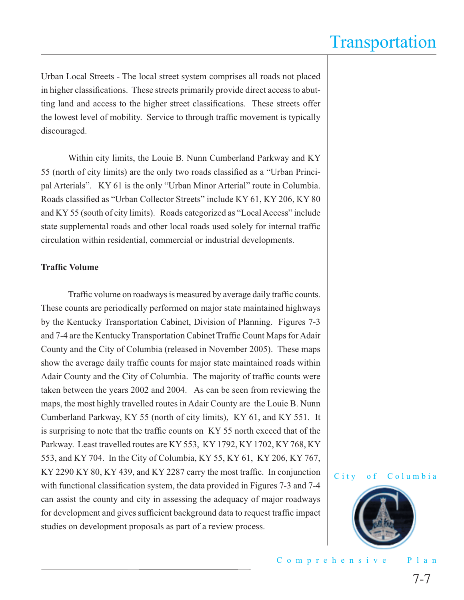Urban Local Streets - The local street system comprises all roads not placed in higher classifications. These streets primarily provide direct access to abutting land and access to the higher street classifications. These streets offer the lowest level of mobility. Service to through traffic movement is typically discouraged.

 Within city limits, the Louie B. Nunn Cumberland Parkway and KY 55 (north of city limits) are the only two roads classified as a "Urban Principal Arterials". KY 61 is the only "Urban Minor Arterial" route in Columbia. Roads classified as "Urban Collector Streets" include KY 61, KY 206, KY 80 and KY 55 (south of city limits). Roads categorized as "Local Access" include state supplemental roads and other local roads used solely for internal traffic circulation within residential, commercial or industrial developments.

#### **Traffic Volume**

Traffic volume on roadways is measured by average daily traffic counts. These counts are periodically performed on major state maintained highways by the Kentucky Transportation Cabinet, Division of Planning. Figures 7-3 and 7-4 are the Kentucky Transportation Cabinet Traffic Count Maps for Adair County and the City of Columbia (released in November 2005). These maps show the average daily traffic counts for major state maintained roads within Adair County and the City of Columbia. The majority of traffic counts were taken between the years 2002 and 2004. As can be seen from reviewing the maps, the most highly travelled routes in Adair County are the Louie B. Nunn Cumberland Parkway, KY 55 (north of city limits), KY 61, and KY 551. It is surprising to note that the traffic counts on KY 55 north exceed that of the Parkway. Least travelled routes are KY 553, KY 1792, KY 1702, KY 768, KY 553, and KY 704. In the City of Columbia, KY 55, KY 61, KY 206, KY 767, KY 2290 KY 80, KY 439, and KY 2287 carry the most traffic. In conjunction with functional classification system, the data provided in Figures 7-3 and 7-4 can assist the county and city in assessing the adequacy of major roadways for development and gives sufficient background data to request traffic impact studies on development proposals as part of a review process.



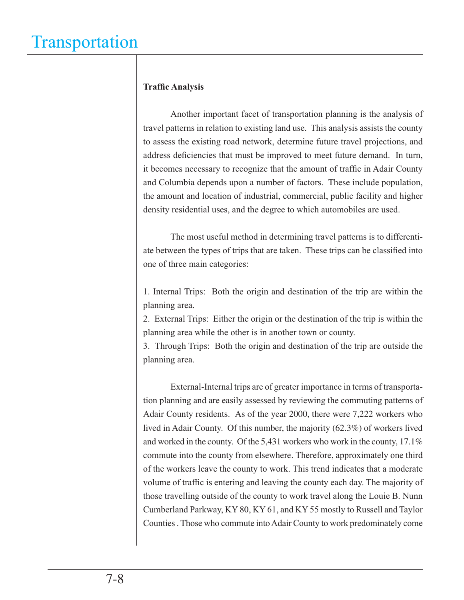#### **Traffic Analysis**

 Another important facet of transportation planning is the analysis of travel patterns in relation to existing land use. This analysis assists the county to assess the existing road network, determine future travel projections, and address deficiencies that must be improved to meet future demand. In turn, it becomes necessary to recognize that the amount of traffic in Adair County and Columbia depends upon a number of factors. These include population, the amount and location of industrial, commercial, public facility and higher density residential uses, and the degree to which automobiles are used.

 The most useful method in determining travel patterns is to differentiate between the types of trips that are taken. These trips can be classified into one of three main categories:

1. Internal Trips: Both the origin and destination of the trip are within the planning area.

2. External Trips: Either the origin or the destination of the trip is within the planning area while the other is in another town or county.

3. Through Trips: Both the origin and destination of the trip are outside the planning area.

 External-Internal trips are of greater importance in terms of transportation planning and are easily assessed by reviewing the commuting patterns of Adair County residents. As of the year 2000, there were 7,222 workers who lived in Adair County. Of this number, the majority (62.3%) of workers lived and worked in the county. Of the 5,431 workers who work in the county, 17.1% commute into the county from elsewhere. Therefore, approximately one third of the workers leave the county to work. This trend indicates that a moderate volume of traffic is entering and leaving the county each day. The majority of those travelling outside of the county to work travel along the Louie B. Nunn Cumberland Parkway, KY 80, KY 61, and KY 55 mostly to Russell and Taylor Counties . Those who commute into Adair County to work predominately come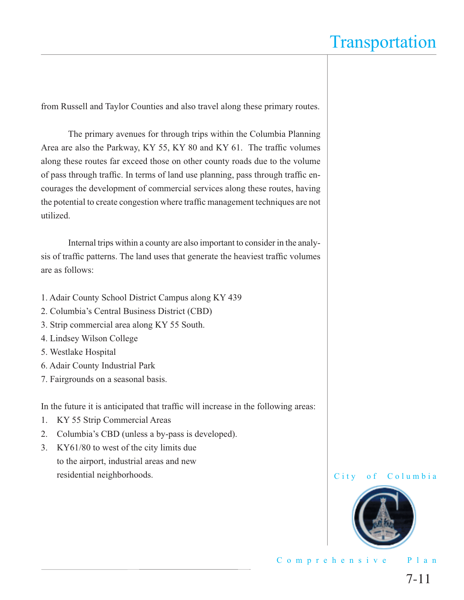from Russell and Taylor Counties and also travel along these primary routes.

 The primary avenues for through trips within the Columbia Planning Area are also the Parkway, KY 55, KY 80 and KY 61. The traffic volumes along these routes far exceed those on other county roads due to the volume of pass through traffic. In terms of land use planning, pass through traffic encourages the development of commercial services along these routes, having the potential to create congestion where traffic management techniques are not utilized.

 Internal trips within a county are also important to consider in the analysis of traffic patterns. The land uses that generate the heaviest traffic volumes are as follows:

- 1. Adair County School District Campus along KY 439
- 2. Columbia's Central Business District (CBD)
- 3. Strip commercial area along KY 55 South.
- 4. Lindsey Wilson College
- 5. Westlake Hospital
- 6. Adair County Industrial Park
- 7. Fairgrounds on a seasonal basis.

In the future it is anticipated that traffic will increase in the following areas:

- 1. KY 55 Strip Commercial Areas
- 2. Columbia's CBD (unless a by-pass is developed).
- 3. KY61/80 to west of the city limits due to the airport, industrial areas and new residential neighborhoods.



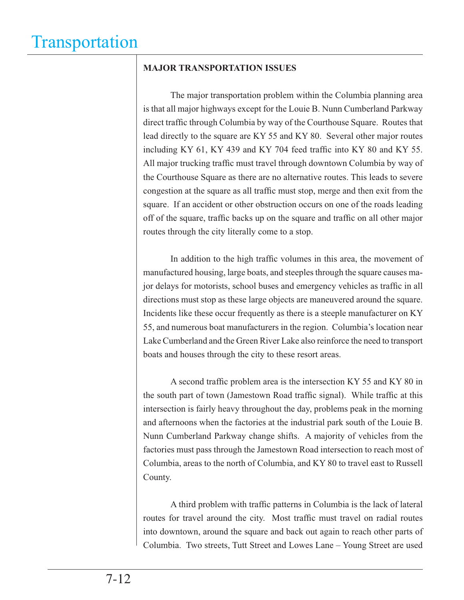#### **MAJOR TRANSPORTATION ISSUES**

The major transportation problem within the Columbia planning area is that all major highways except for the Louie B. Nunn Cumberland Parkway direct traffic through Columbia by way of the Courthouse Square. Routes that lead directly to the square are KY 55 and KY 80. Several other major routes including KY 61, KY 439 and KY 704 feed traffic into KY 80 and KY 55. All major trucking traffic must travel through downtown Columbia by way of the Courthouse Square as there are no alternative routes. This leads to severe congestion at the square as all traffic must stop, merge and then exit from the square. If an accident or other obstruction occurs on one of the roads leading off of the square, traffic backs up on the square and traffic on all other major routes through the city literally come to a stop.

In addition to the high traffic volumes in this area, the movement of manufactured housing, large boats, and steeples through the square causes major delays for motorists, school buses and emergency vehicles as traffic in all directions must stop as these large objects are maneuvered around the square. Incidents like these occur frequently as there is a steeple manufacturer on KY 55, and numerous boat manufacturers in the region. Columbia's location near Lake Cumberland and the Green River Lake also reinforce the need to transport boats and houses through the city to these resort areas.

A second traffic problem area is the intersection KY 55 and KY 80 in the south part of town (Jamestown Road traffic signal). While traffic at this intersection is fairly heavy throughout the day, problems peak in the morning and afternoons when the factories at the industrial park south of the Louie B. Nunn Cumberland Parkway change shifts. A majority of vehicles from the factories must pass through the Jamestown Road intersection to reach most of Columbia, areas to the north of Columbia, and KY 80 to travel east to Russell County.

A third problem with traffic patterns in Columbia is the lack of lateral routes for travel around the city. Most traffic must travel on radial routes into downtown, around the square and back out again to reach other parts of Columbia. Two streets, Tutt Street and Lowes Lane – Young Street are used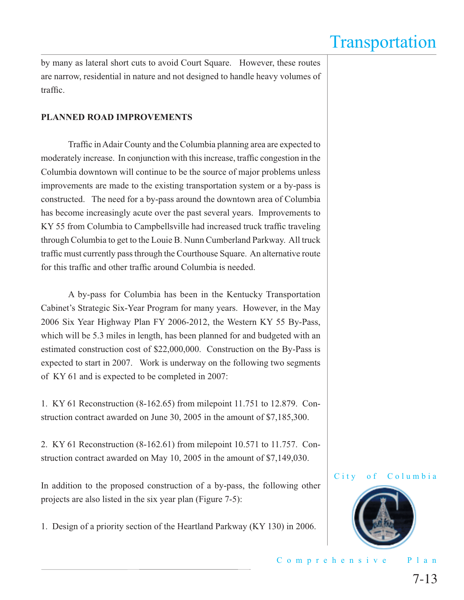by many as lateral short cuts to avoid Court Square. However, these routes are narrow, residential in nature and not designed to handle heavy volumes of traffic.

#### **PLANNED ROAD IMPROVEMENTS**

Traffic in Adair County and the Columbia planning area are expected to moderately increase. In conjunction with this increase, traffic congestion in the Columbia downtown will continue to be the source of major problems unless improvements are made to the existing transportation system or a by-pass is constructed. The need for a by-pass around the downtown area of Columbia has become increasingly acute over the past several years. Improvements to KY 55 from Columbia to Campbellsville had increased truck traffic traveling through Columbia to get to the Louie B. Nunn Cumberland Parkway. All truck traffic must currently pass through the Courthouse Square. An alternative route for this traffic and other traffic around Columbia is needed.

 A by-pass for Columbia has been in the Kentucky Transportation Cabinet's Strategic Six-Year Program for many years. However, in the May 2006 Six Year Highway Plan FY 2006-2012, the Western KY 55 By-Pass, which will be 5.3 miles in length, has been planned for and budgeted with an estimated construction cost of \$22,000,000. Construction on the By-Pass is expected to start in 2007. Work is underway on the following two segments of KY 61 and is expected to be completed in 2007:

1. KY 61 Reconstruction (8-162.65) from milepoint 11.751 to 12.879. Construction contract awarded on June 30, 2005 in the amount of \$7,185,300.

2. KY 61 Reconstruction (8-162.61) from milepoint 10.571 to 11.757. Construction contract awarded on May 10, 2005 in the amount of \$7,149,030.

In addition to the proposed construction of a by-pass, the following other projects are also listed in the six year plan (Figure 7-5):

1. Design of a priority section of the Heartland Parkway (KY 130) in 2006.

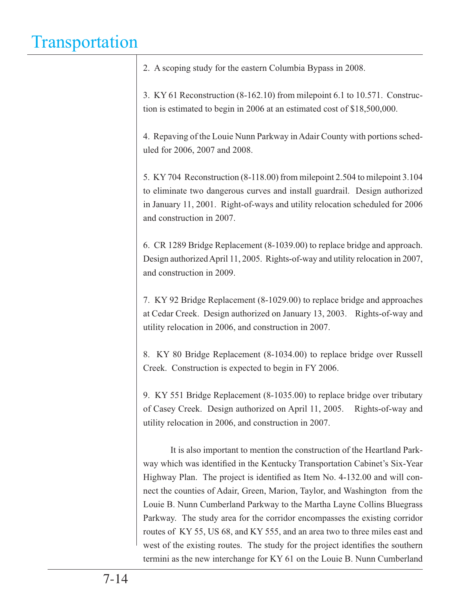| 2. A scoping study for the eastern Columbia Bypass in 2008. |
|-------------------------------------------------------------|
|-------------------------------------------------------------|

3. KY 61 Reconstruction (8-162.10) from milepoint 6.1 to 10.571. Construction is estimated to begin in 2006 at an estimated cost of \$18,500,000.

4. Repaving of the Louie Nunn Parkway in Adair County with portions scheduled for 2006, 2007 and 2008.

5. KY 704 Reconstruction (8-118.00) from milepoint 2.504 to milepoint 3.104 to eliminate two dangerous curves and install guardrail. Design authorized in January 11, 2001. Right-of-ways and utility relocation scheduled for 2006 and construction in 2007.

6. CR 1289 Bridge Replacement (8-1039.00) to replace bridge and approach. Design authorized April 11, 2005. Rights-of-way and utility relocation in 2007, and construction in 2009.

7. KY 92 Bridge Replacement (8-1029.00) to replace bridge and approaches at Cedar Creek. Design authorized on January 13, 2003. Rights-of-way and utility relocation in 2006, and construction in 2007.

8. KY 80 Bridge Replacement (8-1034.00) to replace bridge over Russell Creek. Construction is expected to begin in FY 2006.

9. KY 551 Bridge Replacement (8-1035.00) to replace bridge over tributary of Casey Creek. Design authorized on April 11, 2005. Rights-of-way and utility relocation in 2006, and construction in 2007.

 It is also important to mention the construction of the Heartland Parkway which was identified in the Kentucky Transportation Cabinet's Six-Year Highway Plan. The project is identified as Item No. 4-132.00 and will connect the counties of Adair, Green, Marion, Taylor, and Washington from the Louie B. Nunn Cumberland Parkway to the Martha Layne Collins Bluegrass Parkway. The study area for the corridor encompasses the existing corridor routes of KY 55, US 68, and KY 555, and an area two to three miles east and west of the existing routes. The study for the project identifies the southern termini as the new interchange for KY 61 on the Louie B. Nunn Cumberland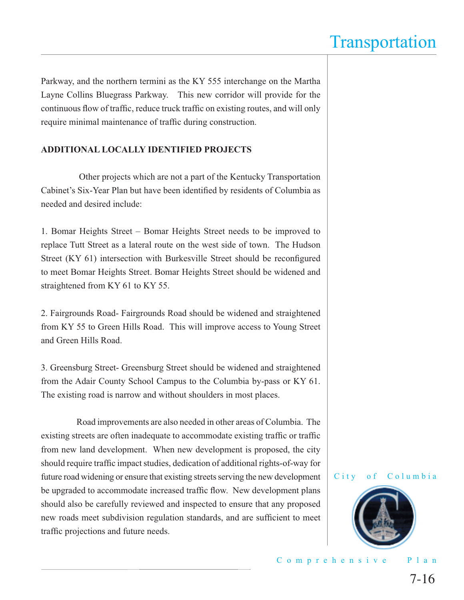Parkway, and the northern termini as the KY 555 interchange on the Martha Layne Collins Bluegrass Parkway. This new corridor will provide for the continuous flow of traffic, reduce truck traffic on existing routes, and will only require minimal maintenance of traffic during construction.

#### **ADDITIONAL LOCALLY IDENTIFIED PROJECTS**

 Other projects which are not a part of the Kentucky Transportation Cabinet's Six-Year Plan but have been identified by residents of Columbia as needed and desired include:

1. Bomar Heights Street – Bomar Heights Street needs to be improved to replace Tutt Street as a lateral route on the west side of town. The Hudson Street (KY 61) intersection with Burkesville Street should be reconfigured to meet Bomar Heights Street. Bomar Heights Street should be widened and straightened from KY 61 to KY 55.

2. Fairgrounds Road- Fairgrounds Road should be widened and straightened from KY 55 to Green Hills Road. This will improve access to Young Street and Green Hills Road.

3. Greensburg Street- Greensburg Street should be widened and straightened from the Adair County School Campus to the Columbia by-pass or KY 61. The existing road is narrow and without shoulders in most places.

 Road improvements are also needed in other areas of Columbia. The existing streets are often inadequate to accommodate existing traffic or traffic from new land development. When new development is proposed, the city should require traffic impact studies, dedication of additional rights-of-way for future road widening or ensure that existing streets serving the new development be upgraded to accommodate increased traffic flow. New development plans should also be carefully reviewed and inspected to ensure that any proposed new roads meet subdivision regulation standards, and are sufficient to meet traffic projections and future needs.

#### City of Columbia

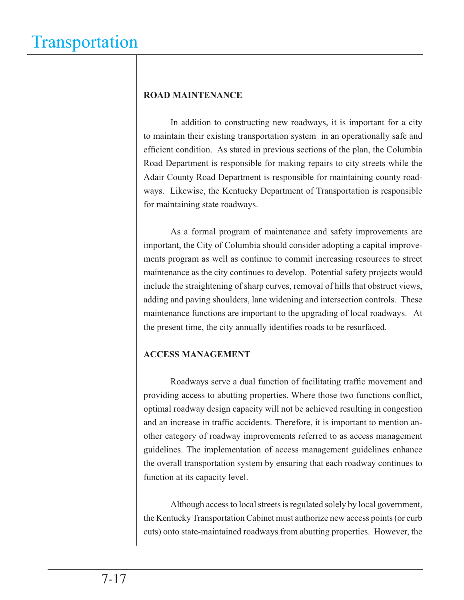#### **ROAD MAINTENANCE**

 In addition to constructing new roadways, it is important for a city to maintain their existing transportation system in an operationally safe and efficient condition. As stated in previous sections of the plan, the Columbia Road Department is responsible for making repairs to city streets while the Adair County Road Department is responsible for maintaining county roadways. Likewise, the Kentucky Department of Transportation is responsible for maintaining state roadways.

 As a formal program of maintenance and safety improvements are important, the City of Columbia should consider adopting a capital improvements program as well as continue to commit increasing resources to street maintenance as the city continues to develop. Potential safety projects would include the straightening of sharp curves, removal of hills that obstruct views, adding and paving shoulders, lane widening and intersection controls. These maintenance functions are important to the upgrading of local roadways. At the present time, the city annually identifies roads to be resurfaced.

#### **ACCESS MANAGEMENT**

Roadways serve a dual function of facilitating traffic movement and providing access to abutting properties. Where those two functions conflict, optimal roadway design capacity will not be achieved resulting in congestion and an increase in traffic accidents. Therefore, it is important to mention another category of roadway improvements referred to as access management guidelines. The implementation of access management guidelines enhance the overall transportation system by ensuring that each roadway continues to function at its capacity level.

 Although access to local streets is regulated solely by local government, the Kentucky Transportation Cabinet must authorize new access points (or curb cuts) onto state-maintained roadways from abutting properties. However, the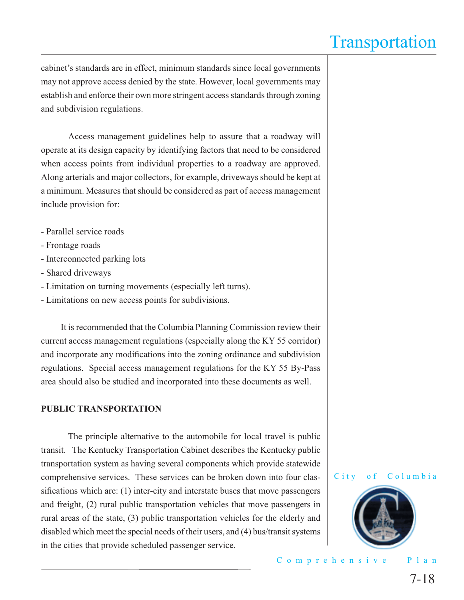cabinet's standards are in effect, minimum standards since local governments may not approve access denied by the state. However, local governments may establish and enforce their own more stringent access standards through zoning and subdivision regulations.

 Access management guidelines help to assure that a roadway will operate at its design capacity by identifying factors that need to be considered when access points from individual properties to a roadway are approved. Along arterials and major collectors, for example, driveways should be kept at a minimum. Measures that should be considered as part of access management include provision for:

- Parallel service roads
- Frontage roads
- Interconnected parking lots
- Shared driveways
- Limitation on turning movements (especially left turns).
- Limitations on new access points for subdivisions.

 It is recommended that the Columbia Planning Commission review their current access management regulations (especially along the KY 55 corridor) and incorporate any modifications into the zoning ordinance and subdivision regulations. Special access management regulations for the KY 55 By-Pass area should also be studied and incorporated into these documents as well.

#### **PUBLIC TRANSPORTATION**

 The principle alternative to the automobile for local travel is public transit. The Kentucky Transportation Cabinet describes the Kentucky public transportation system as having several components which provide statewide comprehensive services. These services can be broken down into four classifications which are:  $(1)$  inter-city and interstate buses that move passengers and freight, (2) rural public transportation vehicles that move passengers in rural areas of the state, (3) public transportation vehicles for the elderly and disabled which meet the special needs of their users, and (4) bus/transit systems in the cities that provide scheduled passenger service.



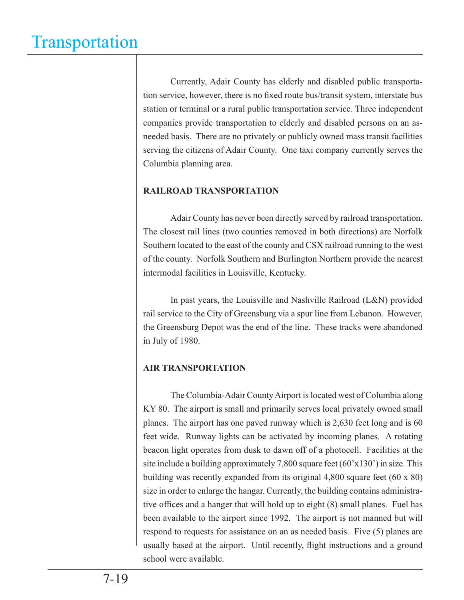Currently, Adair County has elderly and disabled public transportation service, however, there is no fixed route bus/transit system, interstate bus station or terminal or a rural public transportation service. Three independent companies provide transportation to elderly and disabled persons on an asneeded basis. There are no privately or publicly owned mass transit facilities serving the citizens of Adair County. One taxi company currently serves the Columbia planning area.

#### **RAILROAD TRANSPORTATION**

 Adair County has never been directly served by railroad transportation. The closest rail lines (two counties removed in both directions) are Norfolk Southern located to the east of the county and CSX railroad running to the west of the county. Norfolk Southern and Burlington Northern provide the nearest intermodal facilities in Louisville, Kentucky.

 In past years, the Louisville and Nashville Railroad (L&N) provided rail service to the City of Greensburg via a spur line from Lebanon. However, the Greensburg Depot was the end of the line. These tracks were abandoned in July of 1980.

#### **AIR TRANSPORTATION**

 The Columbia-Adair County Airport is located west of Columbia along KY 80. The airport is small and primarily serves local privately owned small planes. The airport has one paved runway which is 2,630 feet long and is 60 feet wide. Runway lights can be activated by incoming planes. A rotating beacon light operates from dusk to dawn off of a photocell. Facilities at the site include a building approximately 7,800 square feet (60'x130') in size. This building was recently expanded from its original 4,800 square feet (60 x 80) size in order to enlarge the hangar. Currently, the building contains administrative offices and a hanger that will hold up to eight (8) small planes. Fuel has been available to the airport since 1992. The airport is not manned but will respond to requests for assistance on an as needed basis. Five (5) planes are usually based at the airport. Until recently, flight instructions and a ground school were available.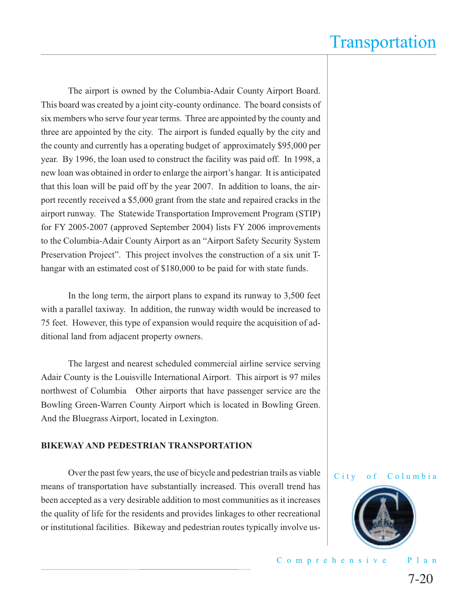The airport is owned by the Columbia-Adair County Airport Board. This board was created by a joint city-county ordinance. The board consists of six members who serve four year terms. Three are appointed by the county and three are appointed by the city. The airport is funded equally by the city and the county and currently has a operating budget of approximately \$95,000 per year. By 1996, the loan used to construct the facility was paid off. In 1998, a new loan was obtained in order to enlarge the airport's hangar. It is anticipated that this loan will be paid off by the year 2007. In addition to loans, the airport recently received a \$5,000 grant from the state and repaired cracks in the airport runway. The Statewide Transportation Improvement Program (STIP) for FY 2005-2007 (approved September 2004) lists FY 2006 improvements to the Columbia-Adair County Airport as an "Airport Safety Security System Preservation Project". This project involves the construction of a six unit Thangar with an estimated cost of \$180,000 to be paid for with state funds.

 In the long term, the airport plans to expand its runway to 3,500 feet with a parallel taxiway. In addition, the runway width would be increased to 75 feet. However, this type of expansion would require the acquisition of additional land from adjacent property owners.

 The largest and nearest scheduled commercial airline service serving Adair County is the Louisville International Airport. This airport is 97 miles northwest of Columbia Other airports that have passenger service are the Bowling Green-Warren County Airport which is located in Bowling Green. And the Bluegrass Airport, located in Lexington.

#### **BIKEWAY AND PEDESTRIAN TRANSPORTATION**

 Over the past few years, the use of bicycle and pedestrian trails as viable means of transportation have substantially increased. This overall trend has been accepted as a very desirable addition to most communities as it increases the quality of life for the residents and provides linkages to other recreational or institutional facilities. Bikeway and pedestrian routes typically involve us-

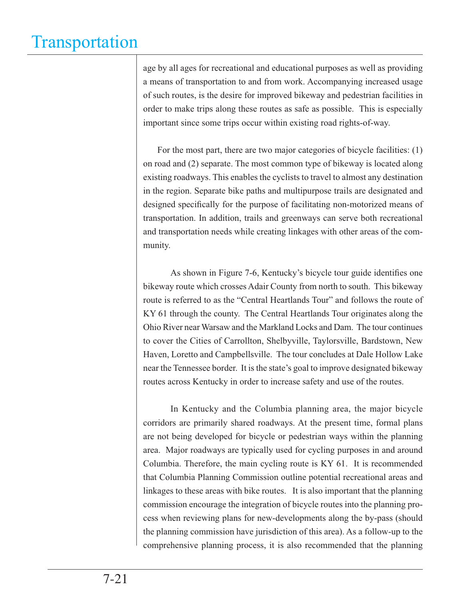age by all ages for recreational and educational purposes as well as providing a means of transportation to and from work. Accompanying increased usage of such routes, is the desire for improved bikeway and pedestrian facilities in order to make trips along these routes as safe as possible. This is especially important since some trips occur within existing road rights-of-way.

 For the most part, there are two major categories of bicycle facilities: (1) on road and (2) separate. The most common type of bikeway is located along existing roadways. This enables the cyclists to travel to almost any destination in the region. Separate bike paths and multipurpose trails are designated and designed specifically for the purpose of facilitating non-motorized means of transportation. In addition, trails and greenways can serve both recreational and transportation needs while creating linkages with other areas of the community.

As shown in Figure 7-6, Kentucky's bicycle tour guide identifies one bikeway route which crosses Adair County from north to south. This bikeway route is referred to as the "Central Heartlands Tour" and follows the route of KY 61 through the county. The Central Heartlands Tour originates along the Ohio River near Warsaw and the Markland Locks and Dam. The tour continues to cover the Cities of Carrollton, Shelbyville, Taylorsville, Bardstown, New Haven, Loretto and Campbellsville. The tour concludes at Dale Hollow Lake near the Tennessee border. It is the state's goal to improve designated bikeway routes across Kentucky in order to increase safety and use of the routes.

 In Kentucky and the Columbia planning area, the major bicycle corridors are primarily shared roadways. At the present time, formal plans are not being developed for bicycle or pedestrian ways within the planning area. Major roadways are typically used for cycling purposes in and around Columbia. Therefore, the main cycling route is KY 61. It is recommended that Columbia Planning Commission outline potential recreational areas and linkages to these areas with bike routes. It is also important that the planning commission encourage the integration of bicycle routes into the planning process when reviewing plans for new-developments along the by-pass (should the planning commission have jurisdiction of this area). As a follow-up to the comprehensive planning process, it is also recommended that the planning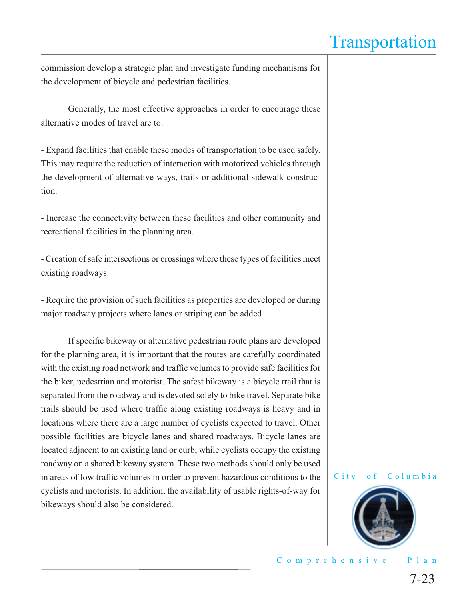commission develop a strategic plan and investigate funding mechanisms for the development of bicycle and pedestrian facilities.

 Generally, the most effective approaches in order to encourage these alternative modes of travel are to:

- Expand facilities that enable these modes of transportation to be used safely. This may require the reduction of interaction with motorized vehicles through the development of alternative ways, trails or additional sidewalk construction.

- Increase the connectivity between these facilities and other community and recreational facilities in the planning area.

- Creation of safe intersections or crossings where these types of facilities meet existing roadways.

- Require the provision of such facilities as properties are developed or during major roadway projects where lanes or striping can be added.

If specific bikeway or alternative pedestrian route plans are developed for the planning area, it is important that the routes are carefully coordinated with the existing road network and traffic volumes to provide safe facilities for the biker, pedestrian and motorist. The safest bikeway is a bicycle trail that is separated from the roadway and is devoted solely to bike travel. Separate bike trails should be used where traffic along existing roadways is heavy and in locations where there are a large number of cyclists expected to travel. Other possible facilities are bicycle lanes and shared roadways. Bicycle lanes are located adjacent to an existing land or curb, while cyclists occupy the existing roadway on a shared bikeway system. These two methods should only be used in areas of low traffic volumes in order to prevent hazardous conditions to the cyclists and motorists. In addition, the availability of usable rights-of-way for bikeways should also be considered.



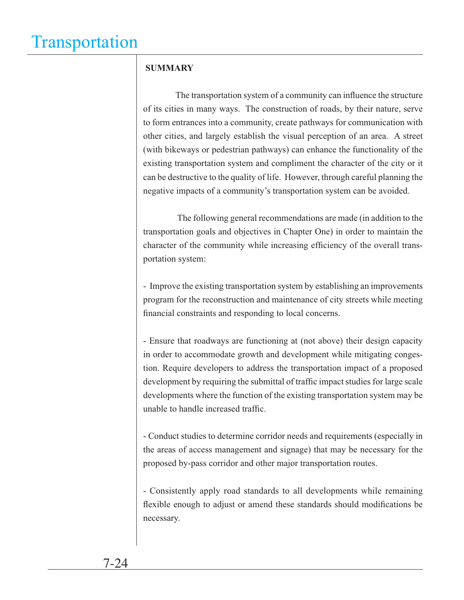#### **SUMMARY**

The transportation system of a community can influence the structure of its cities in many ways. The construction of roads, by their nature, serve to form entrances into a community, create pathways for communication with other cities, and largely establish the visual perception of an area. A street (with bikeways or pedestrian pathways) can enhance the functionality of the existing transportation system and compliment the character of the city or it can be destructive to the quality of life. However, through careful planning the negative impacts of a community's transportation system can be avoided.

 The following general recommendations are made (in addition to the transportation goals and objectives in Chapter One) in order to maintain the character of the community while increasing efficiency of the overall transportation system:

- Improve the existing transportation system by establishing an improvements program for the reconstruction and maintenance of city streets while meeting financial constraints and responding to local concerns.

- Ensure that roadways are functioning at (not above) their design capacity in order to accommodate growth and development while mitigating congestion. Require developers to address the transportation impact of a proposed development by requiring the submittal of traffic impact studies for large scale developments where the function of the existing transportation system may be unable to handle increased traffic.

- Conduct studies to determine corridor needs and requirements (especially in the areas of access management and signage) that may be necessary for the proposed by-pass corridor and other major transportation routes.

- Consistently apply road standards to all developments while remaining flexible enough to adjust or amend these standards should modifications be necessary.